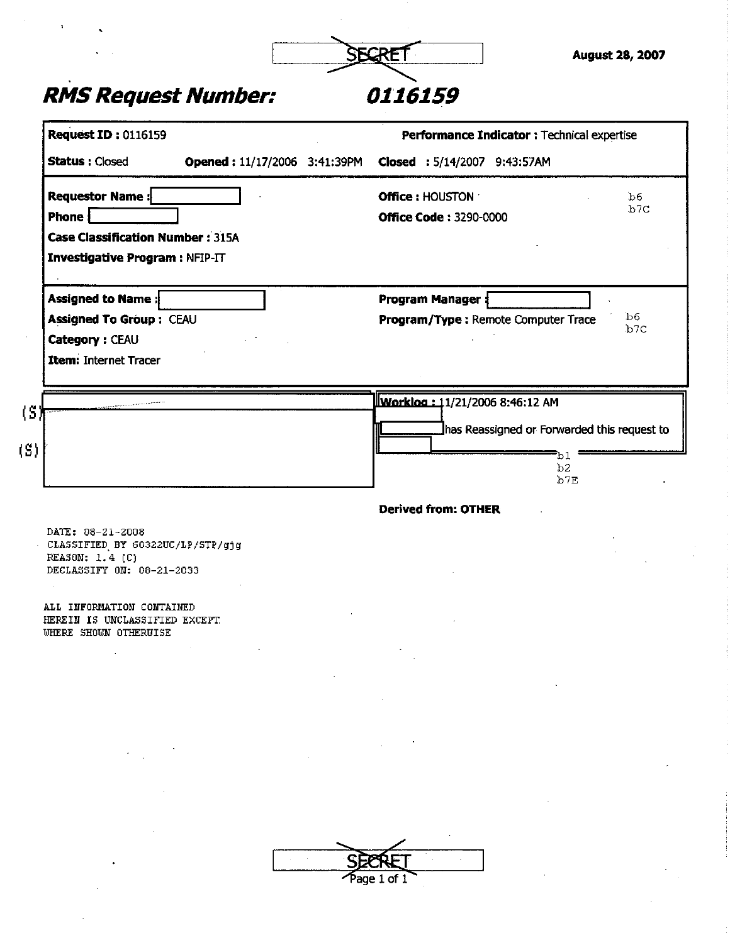### *RMS Request Number: 0116159*

| <b>Request ID: 0116159</b>                                                                                      |                              | Performance Indicator : Technical expertise                                   |                 |
|-----------------------------------------------------------------------------------------------------------------|------------------------------|-------------------------------------------------------------------------------|-----------------|
| <b>Status: Closed</b>                                                                                           | Opened: 11/17/2006 3:41:39PM | Closed : 5/14/2007 9:43:57AM                                                  |                 |
| <b>Requestor Name:</b><br>Phone  <br><b>Case Classification Number: 315A</b><br>Investigative Program : NFIP-IT |                              | <b>Office: HOUSTON</b><br><b>Office Code: 3290-0000</b>                       | b6<br>b7C       |
| Assigned to Name:<br><b>Assigned To Group: CEAU</b><br>Category: CEAU<br><b>Item: Internet Tracer</b>           |                              | <b>Program Manager:</b><br>Program/Type: Remote Computer Trace                | b6<br>b7C       |
|                                                                                                                 |                              | Worklog: 11/21/2006 8:46:12 AM<br>has Reassigned or Forwarded this request to |                 |
|                                                                                                                 |                              |                                                                               | b1<br>b2<br>b7E |
|                                                                                                                 |                              | <b>Derived from: OTHER:</b>                                                   |                 |
| DATE: 08-21-2008<br>CLASSIFIED BY 60322UC/LP/STP/gjg<br>REASON: 1.4 (C)<br>DECLASSIFY ON: 08-21-2033            |                              |                                                                               |                 |
| ALL INFORMATION CONTAINED<br>HEREIN IS UNCLASSIFIED EXCEPT<br>WHERE SHOWN OTHERWISE                             |                              |                                                                               |                 |
|                                                                                                                 |                              |                                                                               |                 |
|                                                                                                                 |                              |                                                                               |                 |
|                                                                                                                 |                              |                                                                               |                 |
|                                                                                                                 |                              |                                                                               |                 |
|                                                                                                                 |                              | SEERFT<br>$\overline{\phantom{a}}$                                            |                 |

Page 1 of 1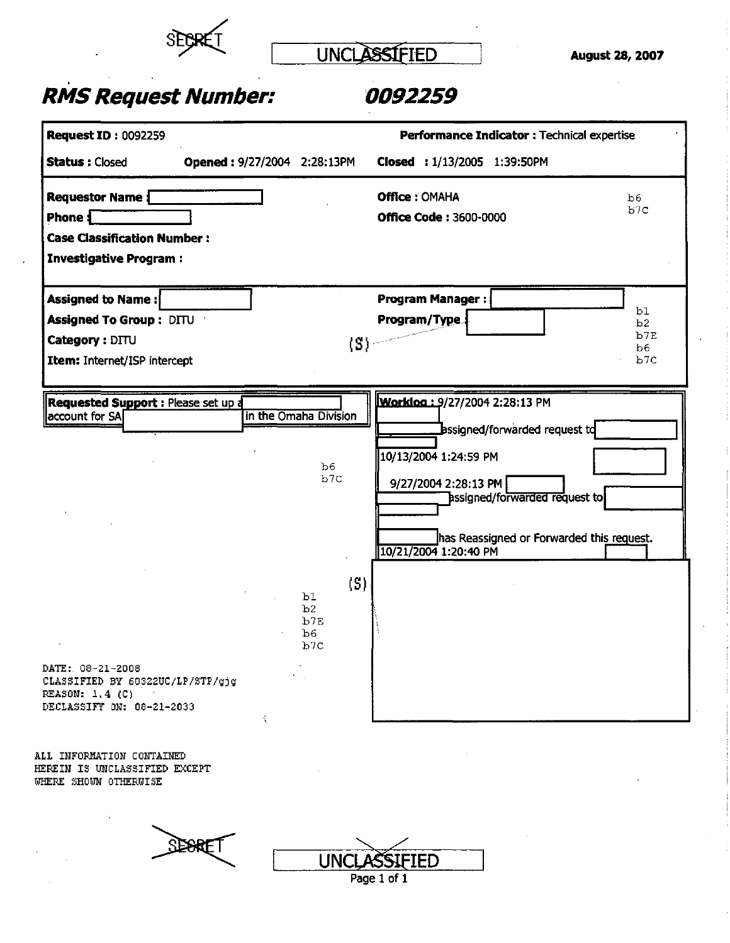

UNCLASSIFIED

August 28, 2007

### **RMS Request Number: 0092259**

| <b>Request ID: 0092259</b>                                                                                                                                            |                                                                                      | Performance Indicator : Technical expertise                                                                                                                                                                                                   |                              |
|-----------------------------------------------------------------------------------------------------------------------------------------------------------------------|--------------------------------------------------------------------------------------|-----------------------------------------------------------------------------------------------------------------------------------------------------------------------------------------------------------------------------------------------|------------------------------|
| <b>Status: Closed</b>                                                                                                                                                 | Opened: 9/27/2004 2:28:13PM                                                          | Closed: 1/13/2005 1:39:50PM                                                                                                                                                                                                                   |                              |
| <b>Requestor Name</b> {<br>Phone $\blacksquare$<br><b>Case Classification Number:</b><br><b>Investigative Program:</b>                                                |                                                                                      | <b>Office: OMAHA</b><br><b>Office Code: 3600-0000</b>                                                                                                                                                                                         | Ъ6<br>b7C                    |
| Assigned to Name:<br><b>Assigned To Group: DITU</b><br>Category: DITU<br>Item: Internet/ISP intercept                                                                 |                                                                                      | Program Manager:<br>Program/Type:<br>(S) -                                                                                                                                                                                                    | b1<br>b2<br>b7E<br>b6<br>b7c |
| <b>Requested Support: Please set up d</b><br>account for SA<br>DATE: 08-21-2008<br>CLASSIFIED BY 60322UC/LP/STP/gjg<br>REASON: $1.4$ (C)<br>DECLASSIFY ON: 08-21-2033 | in the Omaha Division<br>b6.<br>b7C<br>b1<br>b <sub>2</sub><br>b7E<br>b6<br>b7c<br>Ň | Worklog: 9/27/2004 2:28:13 PM<br>Bssigned/forwarded request td<br>10/13/2004 1:24:59 PM<br>9/27/2004 2:28:13 PM<br>assigned/forwarded request to<br>has Reassigned or Forwarded this request.<br>10/21/2004 1:20:40 PM<br>$\langle S \rangle$ |                              |

**ALL INFORMATION CONTAINED HEREIN IS UNCLASSIFIED EXCEPT**  WHERE SHOWN OTHERWISE

 $2E$ BRET **UNCLASSIFIED** Page 1 of 1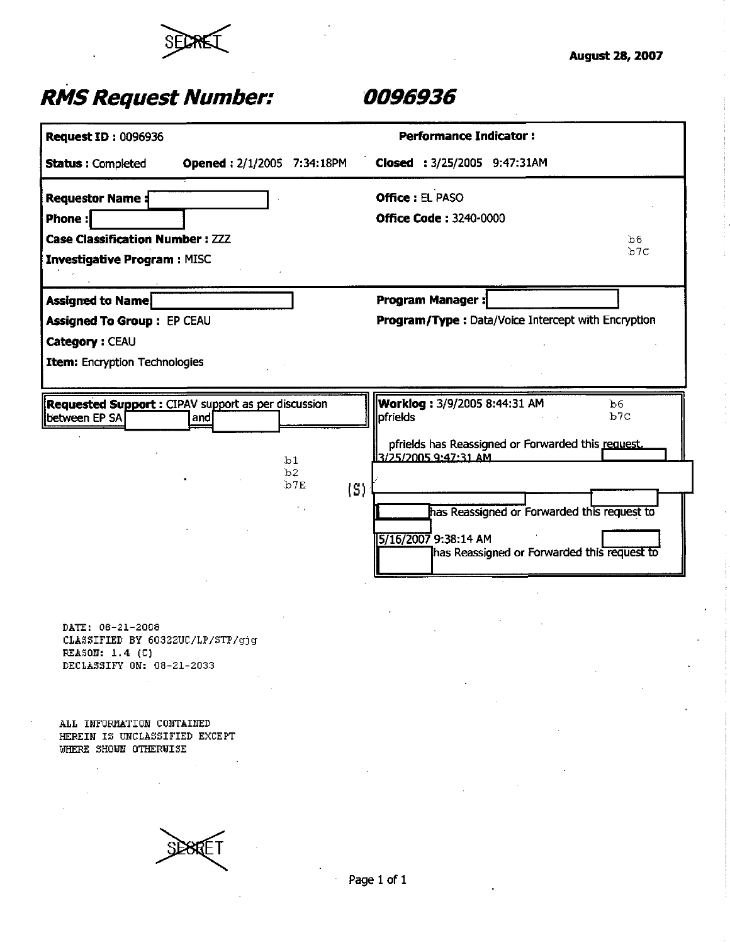

# *RMS Request Number: 0096936*

| <b>Request ID: 0096936</b>                                           |                                                                                                                                                                                                                                                                     |                                              | <b>Performance Indicator:</b>                         |
|----------------------------------------------------------------------|---------------------------------------------------------------------------------------------------------------------------------------------------------------------------------------------------------------------------------------------------------------------|----------------------------------------------|-------------------------------------------------------|
| <b>Status: Completed</b>                                             | <b>Opened: 2/1/2005 7:34:18PM</b>                                                                                                                                                                                                                                   |                                              | Closed: 3/25/2005 9:47:31AM                           |
| <b>Requestor Name:</b>                                               |                                                                                                                                                                                                                                                                     |                                              | <b>Office: EL PASO</b>                                |
| Phone:                                                               |                                                                                                                                                                                                                                                                     |                                              | <b>Office Code: 3240-0000</b>                         |
| <b>Case Classification Number: ZZZ</b>                               |                                                                                                                                                                                                                                                                     |                                              | b6                                                    |
| <b>Investigative Program: MISC</b>                                   |                                                                                                                                                                                                                                                                     |                                              | b7c                                                   |
| <b>Assigned to Name</b>                                              |                                                                                                                                                                                                                                                                     |                                              | <b>Program Manager:</b>                               |
| Assigned To Group: EP CEAU                                           |                                                                                                                                                                                                                                                                     |                                              | Program/Type: Data/Voice Intercept with Encryption    |
| Category: CEAU                                                       |                                                                                                                                                                                                                                                                     |                                              |                                                       |
| <b>Item:</b> Encryption Technologies                                 |                                                                                                                                                                                                                                                                     |                                              |                                                       |
|                                                                      |                                                                                                                                                                                                                                                                     |                                              |                                                       |
| Requested Support : CIPAV support as per discussion<br>between EP SA | and                                                                                                                                                                                                                                                                 |                                              | Worklog: 3/9/2005 8:44:31 AM<br>b6<br>b7C<br>pfrields |
|                                                                      |                                                                                                                                                                                                                                                                     |                                              | pfrields has Reassigned or Forwarded this request.    |
|                                                                      |                                                                                                                                                                                                                                                                     | b1<br>b2                                     | 3/25/2005 9:47:31 AM                                  |
|                                                                      |                                                                                                                                                                                                                                                                     | b7E<br>$\left\langle \text{S} \right\rangle$ |                                                       |
|                                                                      |                                                                                                                                                                                                                                                                     |                                              | has Reassigned or Forwarded this request to           |
|                                                                      |                                                                                                                                                                                                                                                                     |                                              | 5/16/2007 9:38:14 AM                                  |
|                                                                      |                                                                                                                                                                                                                                                                     |                                              | has Reassigned or Forwarded this request to           |
|                                                                      |                                                                                                                                                                                                                                                                     |                                              |                                                       |
|                                                                      |                                                                                                                                                                                                                                                                     |                                              |                                                       |
| DATE: 08-21-2008                                                     |                                                                                                                                                                                                                                                                     |                                              |                                                       |
| CLASSIFIED BY 60322UC/LP/STP/gjg<br>REASON: 1.4 (C)                  |                                                                                                                                                                                                                                                                     |                                              |                                                       |
| DECLASSIFY ON: 08-21-2033                                            |                                                                                                                                                                                                                                                                     |                                              |                                                       |
|                                                                      |                                                                                                                                                                                                                                                                     |                                              |                                                       |
| ALL INFORMATION CONTAINED                                            |                                                                                                                                                                                                                                                                     |                                              |                                                       |
| HEREIN IS UNCLASSIFIED EXCEPT                                        |                                                                                                                                                                                                                                                                     |                                              |                                                       |
| WHERE SHOWN OTHERWISE                                                | $\label{eq:2.1} \frac{1}{\sqrt{2}}\int_{\mathbb{R}^3}\frac{1}{\sqrt{2}}\left(\frac{1}{\sqrt{2}}\right)^2\frac{1}{\sqrt{2}}\left(\frac{1}{\sqrt{2}}\right)^2\frac{1}{\sqrt{2}}\left(\frac{1}{\sqrt{2}}\right)^2\frac{1}{\sqrt{2}}\left(\frac{1}{\sqrt{2}}\right)^2.$ |                                              |                                                       |
|                                                                      |                                                                                                                                                                                                                                                                     |                                              |                                                       |

**SEBRET**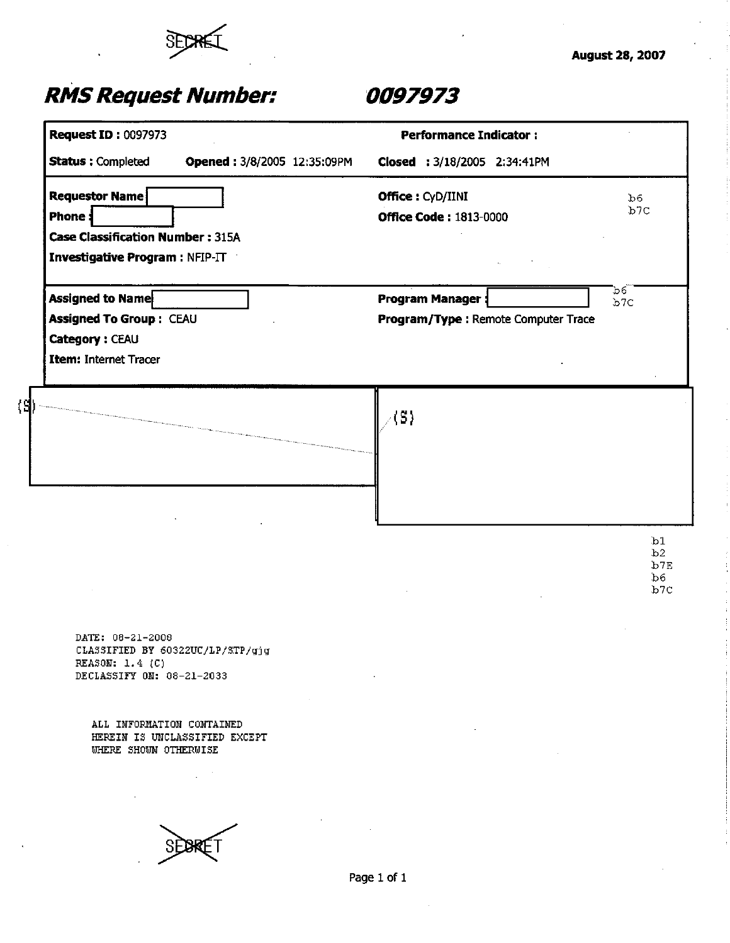

| <b>Request ID: 0097973</b>                                                                           |                             | <b>Performance Indicator:</b>                                  |                        |
|------------------------------------------------------------------------------------------------------|-----------------------------|----------------------------------------------------------------|------------------------|
| <b>Status: Completed</b>                                                                             | Opened: 3/8/2005 12:35:09PM | Closed : 3/18/2005 2:34:41PM                                   |                        |
| Requestor Name<br>Phone:<br><b>Case Classification Number: 315A</b>                                  |                             | Office: CyD/IINI<br><b>Office Code: 1813-0000</b>              | b6<br>b7C              |
| Investigative Program : NFIP-IT                                                                      |                             |                                                                |                        |
| Assigned to Name<br><b>Assigned To Group: CEAU</b><br>Category: CEAU<br><b>Item: Internet Tracer</b> |                             | <b>Program Manager:</b><br>Program/Type: Remote Computer Trace | b6.<br>b7C             |
|                                                                                                      |                             | $\angle$ (S)                                                   |                        |
|                                                                                                      |                             |                                                                | b1                     |
|                                                                                                      |                             |                                                                | b2<br>b7E<br>b6<br>b7C |
| DATE: 08-21-2008<br>CLASSIFIED BY 60322UC/LP/STP/gjg<br>REASON: 1.4 (C)<br>DECLASSIFY ON: 08-21-2033 |                             |                                                                |                        |
| ALL INFORMATION CONTAINED<br>HEREIN IS UNCLASSIFIED EXCEPT<br>WHERE SHOWN OTHERWISE                  |                             |                                                                |                        |
|                                                                                                      |                             |                                                                |                        |
|                                                                                                      |                             | Page 1 of 1                                                    |                        |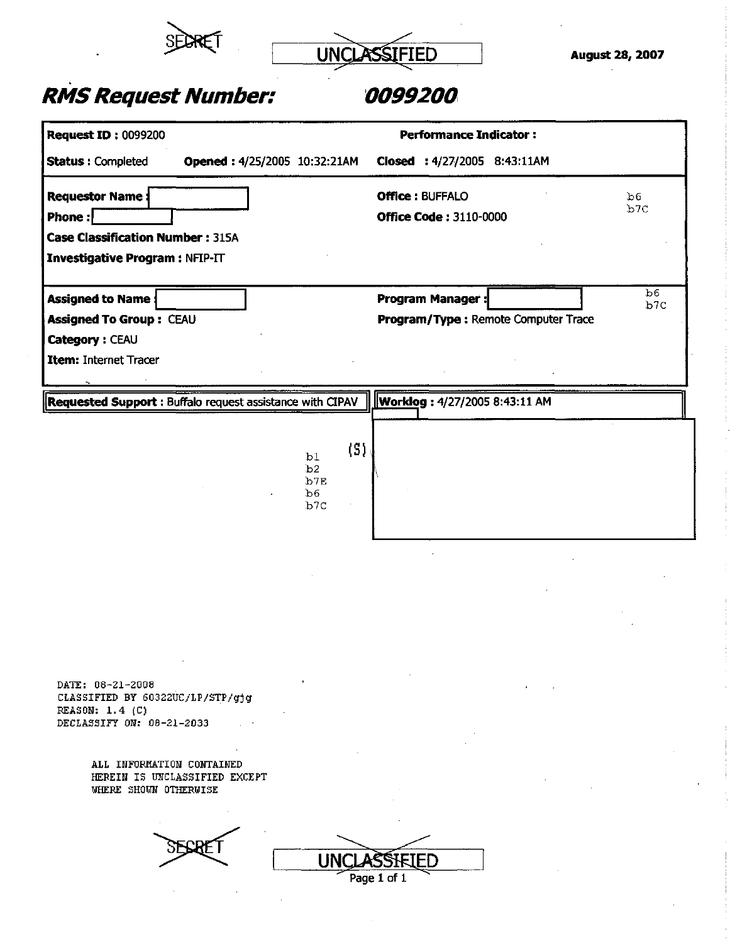



| <b>Request ID: 0099200</b>                                                                                     |                                                                             | <b>Performance Indicator:</b>                                  |            |
|----------------------------------------------------------------------------------------------------------------|-----------------------------------------------------------------------------|----------------------------------------------------------------|------------|
| <b>Status: Completed</b>                                                                                       | Opened: 4/25/2005 10:32:21AM                                                | Closed: 4/27/2005 8:43:11AM                                    |            |
| <b>Requestor Name:</b><br>Phone:<br><b>Case Classification Number: 315A</b><br>Investigative Program : NFIP-IT |                                                                             | <b>Office: BUFFALO</b><br><b>Office Code: 3110-0000</b>        | b6<br>b7C  |
| <b>Assigned to Name:</b><br><b>Assigned To Group: CEAU</b><br>Category: CEAU<br>Item: Internet Tracer          |                                                                             | <b>Program Manager:</b><br>Program/Type: Remote Computer Trace | .b6<br>b7C |
| Requested Support : Buffalo request assistance with CIPAV                                                      | $\langle S \rangle$<br>b1<br>b2<br>b <sup>7E</sup><br>b6<br>b <sub>7C</sub> | <b>Worklog: 4/27/2005 8:43:11 AM</b>                           |            |
|                                                                                                                |                                                                             |                                                                |            |
| DATE: 08-21-2008<br>CLASSIFIED BY 60322UC/LP/STP/gjg<br>REASON: 1.4 (C)                                        |                                                                             |                                                                |            |

**DECLASSIFY ON: 08-21-2033** 

**ALL INFORMATION CONTAINED HEREIN IS UNCLASSIFIED EXCEPT**  WHERE SHOWN OTHERWISE

UNCLASSIFIED Page 1 of 1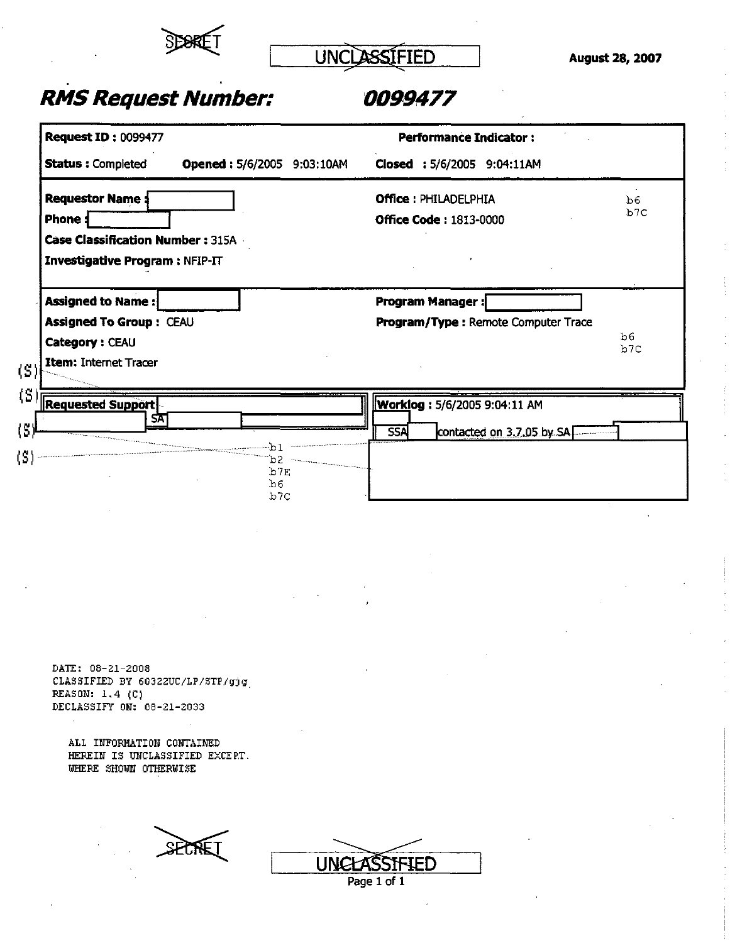

UNCLASSIFIED August 28, 2007

### *RMS Request Number: 0099477*

| <b>Performance Indicator:</b>                            |
|----------------------------------------------------------|
| Opened: 5/6/2005 9:03:10AM<br>Closed: 5/6/2005 9:04:11AM |
| <b>Office: PHILADELPHIA</b><br>b6                        |
| b <sub>7</sub> C<br><b>Office Code: 1813-0000</b>        |
|                                                          |
|                                                          |
|                                                          |
| <b>Program Manager:</b>                                  |
| Program/Type: Remote Computer Trace<br>b6                |
| b7C                                                      |
|                                                          |
|                                                          |
| <b>Worklog: 5/6/2005 9:04:11 AM</b>                      |
| contacted on 3.7.05 by SAL<br><b>SSA</b>                 |
|                                                          |
|                                                          |
|                                                          |
|                                                          |

**DATE; 08-21-2008 CLASSIFIED BY 60322UC/LP/STP/gjg REASON: 1.4 (C) DECLASSIFY ON: 08-21-2033** 

**ALL INFORMATION CONTAINED HEREIN IS UNCLASSIFIED EXCEPT. WHERE SHOWN OTHERWISE** 

SECTEL

| NGLASSIFIED |  |
|-------------|--|
| Page 1 of 1 |  |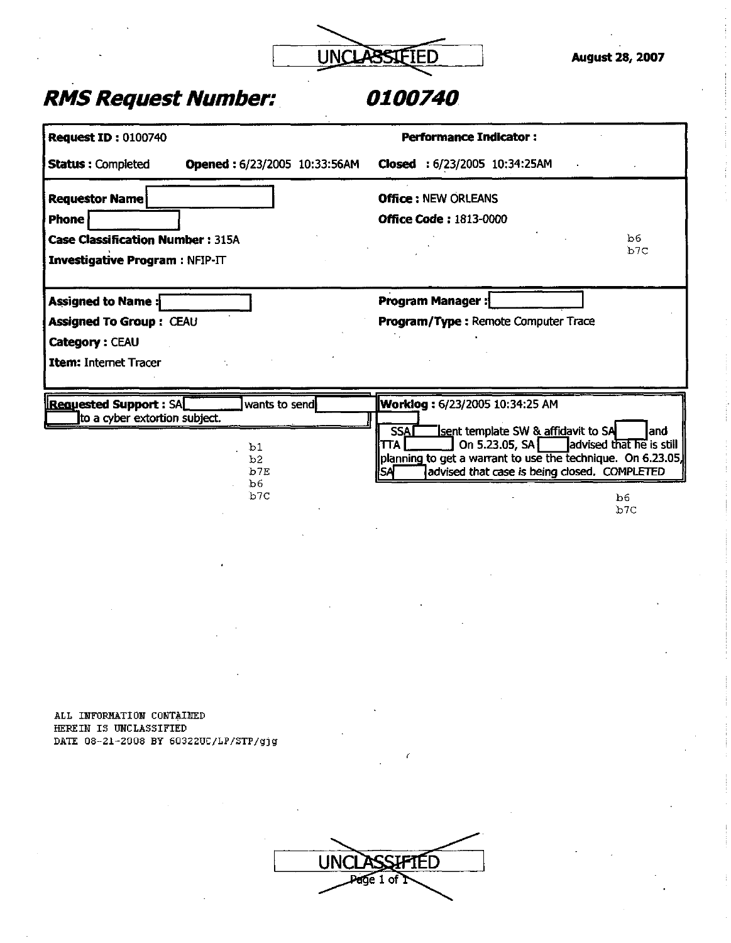

| <b>Status: Completed</b><br>Opened: 6/23/2005 10:33:56AM<br>Closed: 6/23/2005 10:34:25AM<br><b>Office: NEW ORLEANS</b><br><b>Requestor Name</b><br><b>Phone</b><br><b>Office Code: 1813-0000</b><br>b6<br><b>Case Classification Number: 315A</b><br>b <sub>7C</sub><br><b>Investigative Program: NFIP-IT</b><br><b>Program Manager:</b><br>Assigned to Name:<br><b>Assigned To Group: CEAU</b><br>Program/Type: Remote Computer Trace<br>Category: CEAU<br>Item: Internet Tracer<br><b>Requested Support: SAL</b><br>wants to send<br>Worklog: 6/23/2005 10:34:25 AM<br>to a cyber extortion subject.<br>sent template SW & affidavit to SA<br><b>SSAI</b><br>and<br>On 5.23.05, SA advised that he is still<br><b>TTA</b><br>b1<br>planning to get a warrant to use the technique. On 6.23.05,<br>b2<br>advised that case is being closed. COMPLETED<br>b7E<br>¦SA<br>b6<br>b7C<br>b <sub>6</sub><br>b7C | <b>Request ID: 0100740</b> | <b>Performance Indicator:</b> |  |
|------------------------------------------------------------------------------------------------------------------------------------------------------------------------------------------------------------------------------------------------------------------------------------------------------------------------------------------------------------------------------------------------------------------------------------------------------------------------------------------------------------------------------------------------------------------------------------------------------------------------------------------------------------------------------------------------------------------------------------------------------------------------------------------------------------------------------------------------------------------------------------------------------------|----------------------------|-------------------------------|--|
|                                                                                                                                                                                                                                                                                                                                                                                                                                                                                                                                                                                                                                                                                                                                                                                                                                                                                                            |                            |                               |  |
|                                                                                                                                                                                                                                                                                                                                                                                                                                                                                                                                                                                                                                                                                                                                                                                                                                                                                                            |                            |                               |  |
|                                                                                                                                                                                                                                                                                                                                                                                                                                                                                                                                                                                                                                                                                                                                                                                                                                                                                                            |                            |                               |  |
|                                                                                                                                                                                                                                                                                                                                                                                                                                                                                                                                                                                                                                                                                                                                                                                                                                                                                                            |                            |                               |  |
|                                                                                                                                                                                                                                                                                                                                                                                                                                                                                                                                                                                                                                                                                                                                                                                                                                                                                                            |                            |                               |  |
|                                                                                                                                                                                                                                                                                                                                                                                                                                                                                                                                                                                                                                                                                                                                                                                                                                                                                                            |                            |                               |  |
|                                                                                                                                                                                                                                                                                                                                                                                                                                                                                                                                                                                                                                                                                                                                                                                                                                                                                                            |                            |                               |  |
|                                                                                                                                                                                                                                                                                                                                                                                                                                                                                                                                                                                                                                                                                                                                                                                                                                                                                                            |                            |                               |  |
|                                                                                                                                                                                                                                                                                                                                                                                                                                                                                                                                                                                                                                                                                                                                                                                                                                                                                                            |                            |                               |  |
|                                                                                                                                                                                                                                                                                                                                                                                                                                                                                                                                                                                                                                                                                                                                                                                                                                                                                                            |                            |                               |  |
|                                                                                                                                                                                                                                                                                                                                                                                                                                                                                                                                                                                                                                                                                                                                                                                                                                                                                                            |                            |                               |  |
|                                                                                                                                                                                                                                                                                                                                                                                                                                                                                                                                                                                                                                                                                                                                                                                                                                                                                                            |                            |                               |  |
|                                                                                                                                                                                                                                                                                                                                                                                                                                                                                                                                                                                                                                                                                                                                                                                                                                                                                                            |                            |                               |  |
|                                                                                                                                                                                                                                                                                                                                                                                                                                                                                                                                                                                                                                                                                                                                                                                                                                                                                                            |                            |                               |  |
|                                                                                                                                                                                                                                                                                                                                                                                                                                                                                                                                                                                                                                                                                                                                                                                                                                                                                                            |                            |                               |  |

**ALL INFORMATION CONTAINED HEREIN IS UNCLASSIFIED DATE 08-21-2008 BY 60322UC/LP/STP/gjg** 

| <b>ASSIFTED</b> |
|-----------------|
| Page 1 of 7     |
|                 |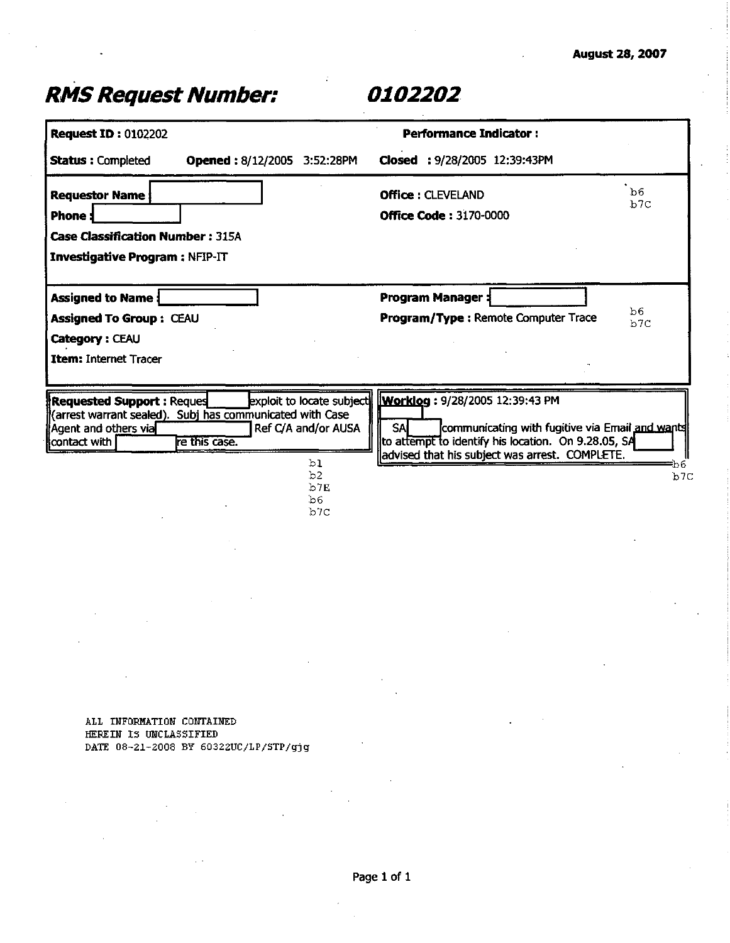| <b>Request ID: 0102202</b>                                                       |                                                                           |                        | <b>Performance Indicator:</b>                                                                                                                                                           |                       |
|----------------------------------------------------------------------------------|---------------------------------------------------------------------------|------------------------|-----------------------------------------------------------------------------------------------------------------------------------------------------------------------------------------|-----------------------|
| <b>Status: Completed</b>                                                         | <b>Opened: 8/12/2005 3:52:28PM</b>                                        |                        | Closed: 9/28/2005 12:39:43PM                                                                                                                                                            |                       |
| <b>Requestor Name</b><br><b>Phone</b>                                            |                                                                           |                        | <b>Office: CLEVELAND</b><br><b>Office Code: 3170-0000</b>                                                                                                                               | b <sub>6</sub><br>b7C |
| <b>Case Classification Number: 315A</b><br><b>Investigative Program: NFIP-IT</b> |                                                                           |                        |                                                                                                                                                                                         |                       |
| <b>Assigned to Name:</b>                                                         |                                                                           |                        | <b>Program Manager:</b>                                                                                                                                                                 | b6                    |
| <b>Assigned To Group: CEAU</b><br>Category: CEAU                                 |                                                                           |                        | Program/Type: Remote Computer Trace                                                                                                                                                     | b7C                   |
| <b>Item: Internet Tracer</b>                                                     |                                                                           |                        |                                                                                                                                                                                         |                       |
| <b>Requested Support: Reques</b><br>[Agent and others via]<br>contact with       | (arrest warrant sealed). Subj has communicated with Case<br>re this case. | Ref C/A and/or AUSA    | exploit to locate subject <b>Worklog</b> : 9/28/2005 12:39:43 PM<br><b>SA</b><br>communicating with fugitive via Email and wants<br>to attempt to identify his location. On 9.28.05, SA |                       |
|                                                                                  |                                                                           | ЪI<br>b2<br>b7E<br>b6. | advised that his subject was arrest. COMPLETE.                                                                                                                                          | bб<br>b7C             |

**ALI INFORMATION CONTAINED HEREIN IS UNCLASSIFIED DATE 08-21-2008 BY 60322UC/LP/STP/gjg**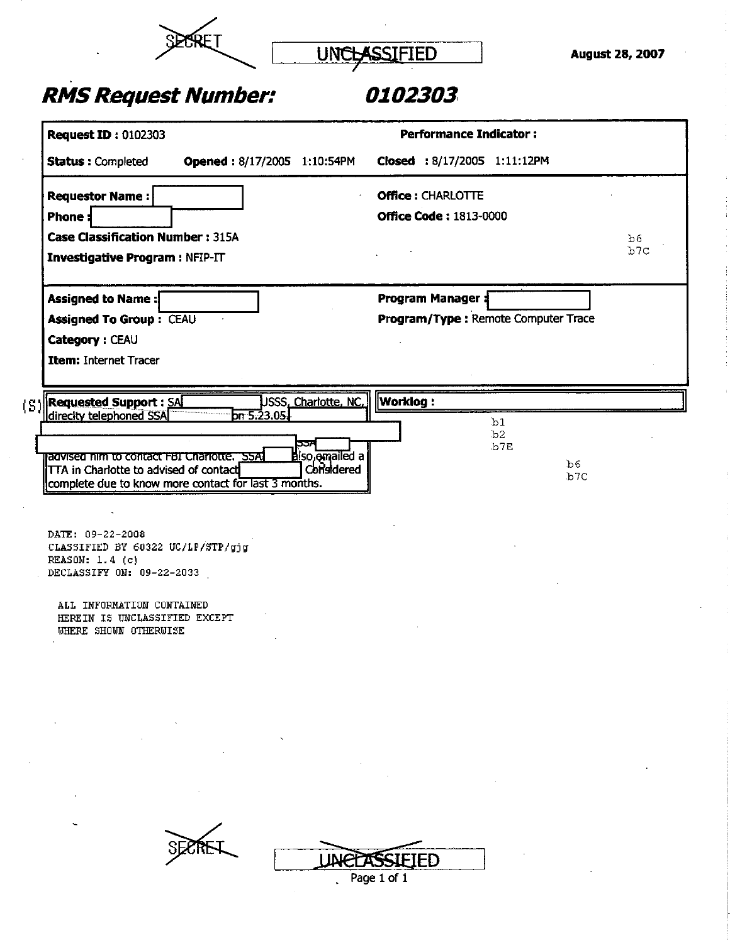

UNCLASSIFIED August 28, 2007

## *RMS Request Number:*

### *0102303*

| <b>Request ID: 0102303</b>                                                                                                                                               |                                                     | <b>Performance Indicator:</b>                                    |           |
|--------------------------------------------------------------------------------------------------------------------------------------------------------------------------|-----------------------------------------------------|------------------------------------------------------------------|-----------|
| <b>Status: Completed</b>                                                                                                                                                 | Opened: 8/17/2005 1:10:54PM                         | Closed : 8/17/2005 1:11:12PM                                     |           |
| <b>Requestor Name:</b><br><b>Phone:</b><br><b>Case Classification Number: 315A</b><br><b>Investigative Program: NFIP-IT</b>                                              |                                                     | <b>Office: CHARLOTTE</b><br><b>Office Code: 1813-0000</b>        | b6<br>b7c |
| Assigned to Name:<br><b>Assigned To Group : CEAU</b><br>Category: CEAU<br>Item: Internet Tracer                                                                          |                                                     | <b>Program Manager \$</b><br>Program/Type: Remote Computer Trace |           |
| <b>Requested Support : SA</b><br>(S)                                                                                                                                     | USSS <u>, Charlotte, NC.</u> Worklog :              |                                                                  |           |
| direcity telephoned SSA<br>ragvised nim to contact FBI Charlotte. SSAT<br>TTA in Charlotte to advised of contact<br>complete due to know more contact for last 3 months. | 5.23.05<br>ģ<br><b>Biso</b> amailed a<br>Considered | b <sub>1</sub><br>b2<br>b7E                                      | b6<br>b7C |
| DATE: 09-22-2008<br>CLASSIFIED BY 60322 UC/LP/STP/gjg<br>REASON: 1.4 (c)<br>DECLASSIFY ON: 09-22-2033<br>ALL INFORMATION CONTAINED                                       |                                                     |                                                                  |           |
| HEREIN IS UNCLASSIFIED EXCEPT<br>WHERE SHOWN OTHERWISE                                                                                                                   |                                                     |                                                                  |           |
|                                                                                                                                                                          |                                                     |                                                                  |           |
|                                                                                                                                                                          | <b>JNEEA!</b>                                       | ED<br>Page 1 of 1                                                |           |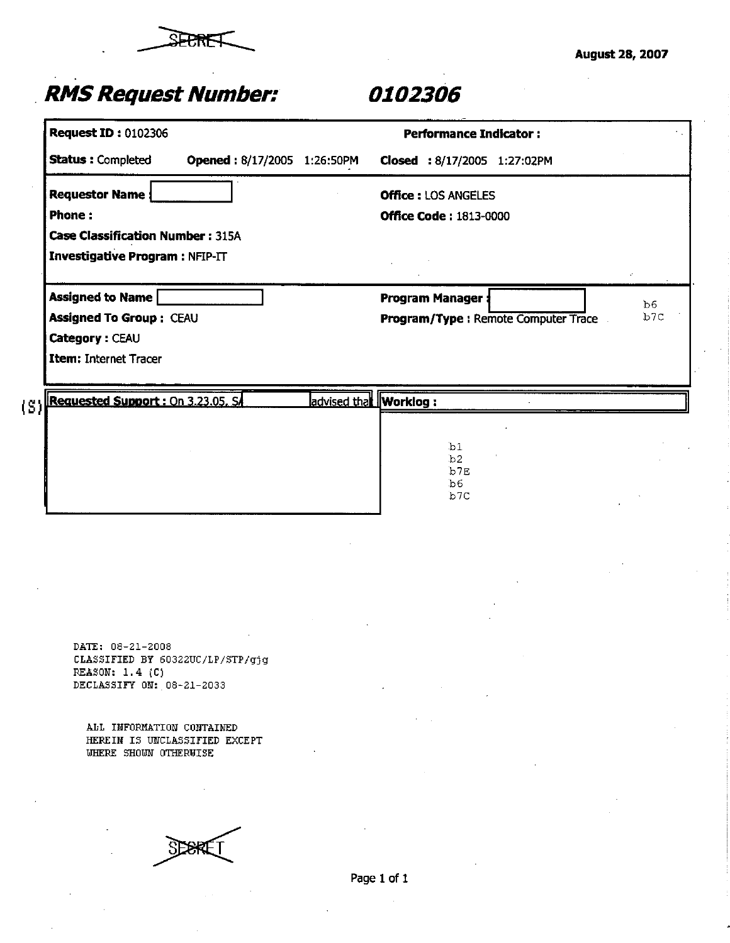

|                     | <b>Request ID: 0102306</b>                                                                           |                       |             | <b>Performance Indicator:</b>                               |                                     |           |
|---------------------|------------------------------------------------------------------------------------------------------|-----------------------|-------------|-------------------------------------------------------------|-------------------------------------|-----------|
|                     | <b>Status: Completed</b><br>Opened: 8/17/2005 1:26:50PM                                              |                       |             | Closed : 8/17/2005 1:27:02PM                                |                                     |           |
|                     | <b>Requestor Name:</b><br>Phone:<br><b>Case Classification Number: 315A</b>                          |                       |             | <b>Office: LOS ANGELES</b><br><b>Office Code: 1813-0000</b> |                                     |           |
|                     | Investigative Program : NFIP-IT                                                                      |                       |             |                                                             |                                     |           |
|                     | <b>Assigned to Name</b><br><b>Assigned To Group: CEAU</b><br>Category: CEAU<br>Item: Internet Tracer |                       |             | <b>Program Manager:</b>                                     | Program/Type: Remote Computer Trace | b6<br>b7C |
| $\langle S \rangle$ | Requested Support : On 3.23.05, SA                                                                   | advised that Worklog: |             |                                                             |                                     |           |
|                     |                                                                                                      |                       |             | b1<br>b2<br>b7E<br>b6<br>b7C                                |                                     |           |
|                     |                                                                                                      |                       |             |                                                             |                                     |           |
|                     |                                                                                                      |                       |             |                                                             |                                     |           |
|                     | DATE: 08-21-2008<br>CLASSIFIED BY 60322UC/LP/STP/gjg<br>REASON: 1.4 (C)<br>DECLASSIFY ON: 08-21-2033 |                       |             |                                                             |                                     |           |
|                     | ALL IMFORMATION CONTAINED<br>HEREIN IS UNCLASSIFIED EXCEPT<br>WHERE SHOWN OTHERWISE                  |                       |             |                                                             |                                     |           |
|                     |                                                                                                      |                       |             |                                                             |                                     |           |
|                     |                                                                                                      |                       | Page 1 of 1 |                                                             |                                     |           |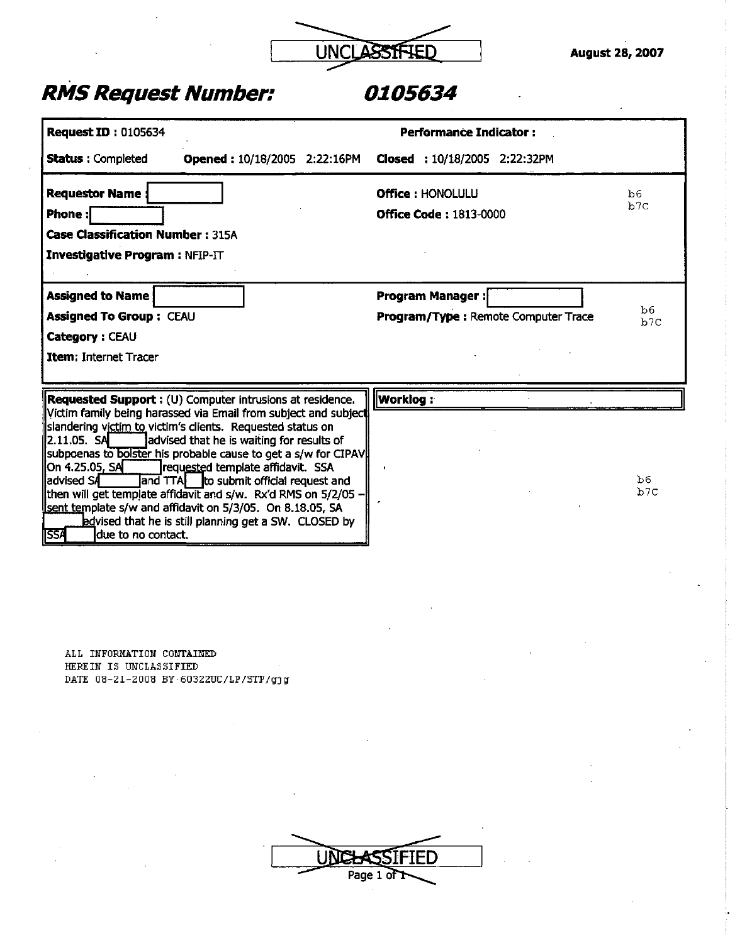

| <b>Request ID: 0105634</b>                                                                                                                                                                                                                                                                                                                                                                                                                                                                                                                                                                                                                                                     | Performance Indicator:                                                             |
|--------------------------------------------------------------------------------------------------------------------------------------------------------------------------------------------------------------------------------------------------------------------------------------------------------------------------------------------------------------------------------------------------------------------------------------------------------------------------------------------------------------------------------------------------------------------------------------------------------------------------------------------------------------------------------|------------------------------------------------------------------------------------|
| <b>Status: Completed</b><br><b>Opened: 10/18/2005 2:22:16PM</b>                                                                                                                                                                                                                                                                                                                                                                                                                                                                                                                                                                                                                | Closed : 10/18/2005 2:22:32PM                                                      |
| <b>Requestor Name</b><br><b>Phone:</b><br><b>Case Classification Number: 315A</b><br>Investigative Program : NFIP-IT                                                                                                                                                                                                                                                                                                                                                                                                                                                                                                                                                           | <b>Office: HONOLULU</b><br>b6<br>b7c<br><b>Office Code: 1813-0000</b>              |
| <b>Assigned to Name</b><br><b>Assigned To Group: CEAU</b><br>Category: CEAU<br><b>Item: Internet Tracer</b>                                                                                                                                                                                                                                                                                                                                                                                                                                                                                                                                                                    | <b>Program Manager:</b><br>b6<br><b>Program/Type: Remote Computer Trace</b><br>b7C |
| Requested Support : (U) Computer intrusions at residence.<br>Victim family being harassed via Email from subject and subject<br>slandering victim to victim's clients. Requested status on<br>2.11.05. SA<br>advised that he is waiting for results of<br>subpoenas to bolster his probable cause to get a s/w for CIPAV<br>On 4.25.05, SA<br>requested template affidavit. SSA<br>ladvised SA<br>and TTA to submit official request and<br>then will get template affidavit and s/w. Rx'd RMS on 5/2/05 -<br>sent template s/w and affidavit on 5/3/05. On 8.18.05, SA<br><b>h</b> edvised that he is still planning get a SW. CLOSED by<br><b>ISSA</b><br>due to no contact. | Worklog :<br>b6<br>b7C                                                             |

**ALL INFORMATIOH CONTAINED HEREIN IS UNCLASSIFIED DATE 08-21-2008 BY•60322UC/LP/STP/gjg** 

| ـ | tHI)<br>. 13 |
|---|--------------|
|   | Page 1 of T  |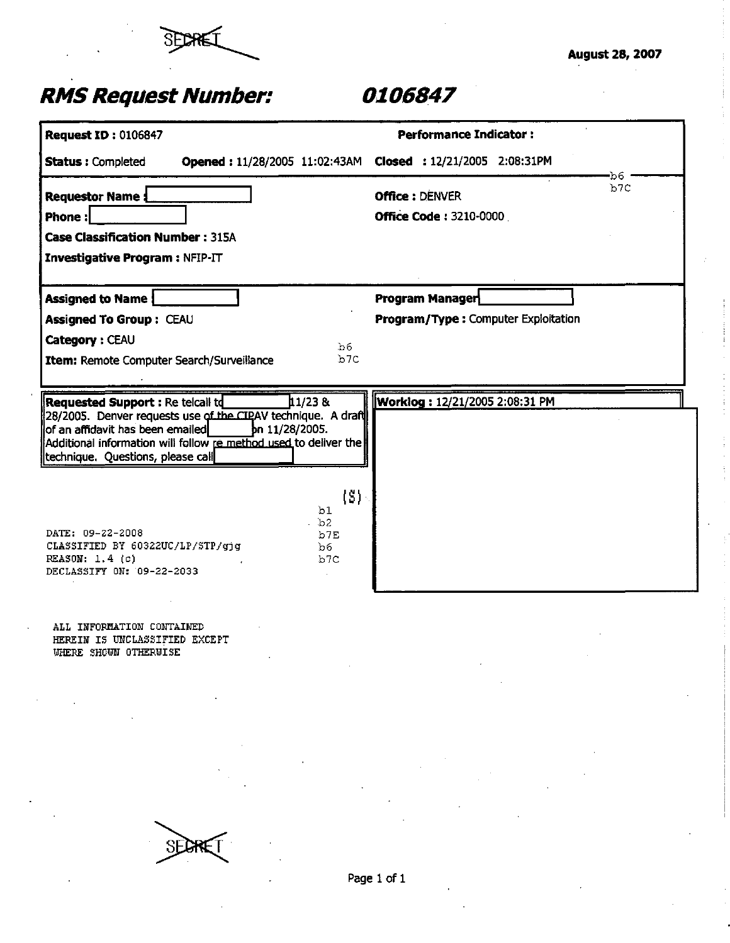

| <b>Request ID: 0106847</b>                                                                                                                                                                                                                                                 | <b>Performance Indicator:</b>                                    |
|----------------------------------------------------------------------------------------------------------------------------------------------------------------------------------------------------------------------------------------------------------------------------|------------------------------------------------------------------|
| <b>Status: Completed</b>                                                                                                                                                                                                                                                   | Opened: 11/28/2005 11:02:43AM Closed: 12/21/2005 2:08:31PM<br>b6 |
| <b>Requestor Name:</b><br>Phone:<br><b>Case Classification Number: 315A</b><br>Investigative Program : NFIP-IT                                                                                                                                                             | b7C<br><b>Office: DENVER</b><br><b>Office Code: 3210-0000</b>    |
| <b>Assigned to Name!</b><br>Assigned To Group: CEAU<br>Category : CEAU<br>b6<br>b7C<br>Item: Remote Computer Search/Surveillance                                                                                                                                           | Program Manager<br>Program/Type: Computer Exploitation           |
| 1/238<br>Requested Support : Re telcall td<br>28/2005. Denver requests use of the CIPAV technique. A draft<br>lof an affidavit has been emailed<br>bn 11/28/2005.<br>Additional information will follow re method used to deliver the<br>technique. Questions, please call | Worklog: 12/21/2005 2:08:31 PM                                   |
| $\{S\}$ :<br>b1<br>bb2<br>DATE: 09-22-2008<br>b7E<br>CLASSIFIED BY 60322UC/LP/STP/gjg<br>b6<br>REASON: 1.4 (c)<br>b7C<br>DECLASSIFY ON: 09-22-2033                                                                                                                         |                                                                  |
| ALL INFORMATION CONTAINED<br>HEREIN IS UNCLASSIFIED EXCEPT<br>WHERE SHOWN OTHERWISE                                                                                                                                                                                        |                                                                  |
|                                                                                                                                                                                                                                                                            |                                                                  |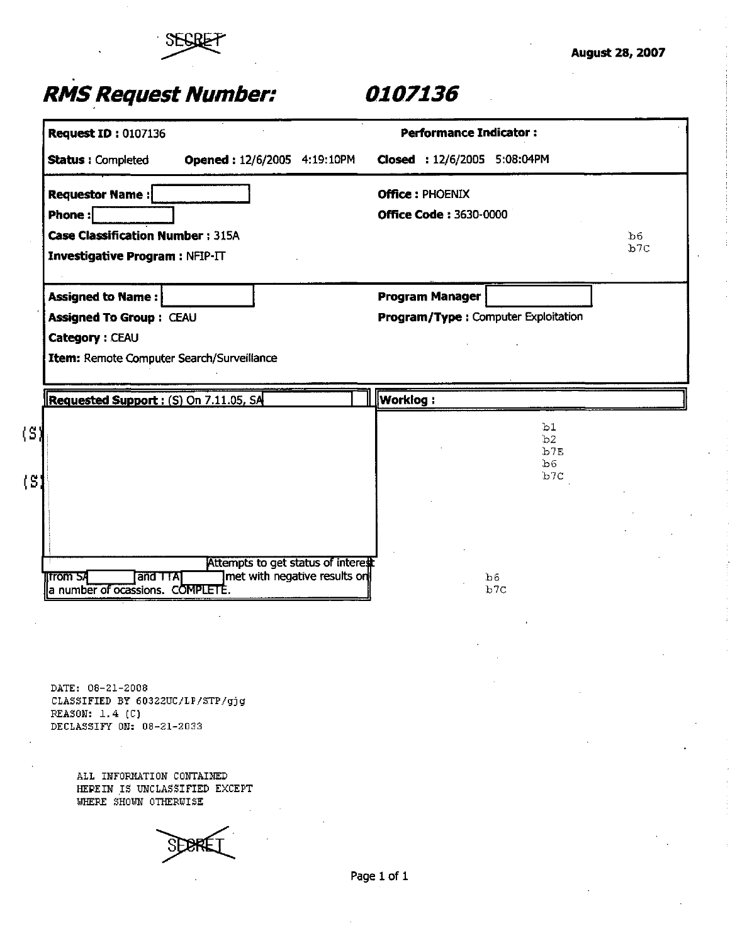

|                                                                |                                    | <b>Performance Indicator:</b>       |     |
|----------------------------------------------------------------|------------------------------------|-------------------------------------|-----|
| <b>Status: Completed</b>                                       | Opened: 12/6/2005 4:19:10PM        | Closed: 12/6/2005 5:08:04PM         |     |
| <b>Requestor Name:</b>                                         |                                    | <b>Office: PHOENIX</b>              |     |
| <b>Phone:</b>                                                  |                                    | <b>Office Code: 3630-0000</b>       |     |
| <b>Case Classification Number: 315A</b>                        |                                    |                                     | b6  |
| <b>Investigative Program: NFIP-IT</b>                          |                                    |                                     | b7c |
|                                                                |                                    |                                     |     |
| <b>Assigned to Name:</b>                                       |                                    | <b>Program Manager</b>              |     |
| <b>Assigned To Group: CEAU</b>                                 |                                    | Program/Type: Computer Exploitation |     |
| Category: CEAU                                                 |                                    |                                     |     |
| Item: Remote Computer Search/Surveillance                      |                                    |                                     |     |
|                                                                |                                    |                                     |     |
|                                                                |                                    |                                     |     |
| <b>Requested Support: (S) On 7.11.05, SA</b>                   |                                    | <b>Worklog:</b>                     |     |
|                                                                |                                    | b1                                  |     |
|                                                                |                                    | b2                                  |     |
|                                                                |                                    | b7E<br>b <sub>6</sub>               |     |
| (S)                                                            |                                    | b7c                                 |     |
|                                                                |                                    |                                     |     |
|                                                                |                                    |                                     |     |
|                                                                |                                    |                                     |     |
|                                                                | Attempts to get status of interest |                                     |     |
| <b>Ifrom SA</b><br>and TTA<br>a number of ocassions. COMPLETE. | ]met with negative results on      | b6<br>b7C                           |     |

**DATE: 08-21-2008 CLASSIFIED BY 60322UC/LF/STP/gjg REASON: 1.4 (C) DECLASSIFY OH: 08-21-2033** 

> **ALL INFORMATION CONTAINED HEREIN IS UNCLASSIFIED EXCEPT WHERE SHOWN OTHERWISE**

SE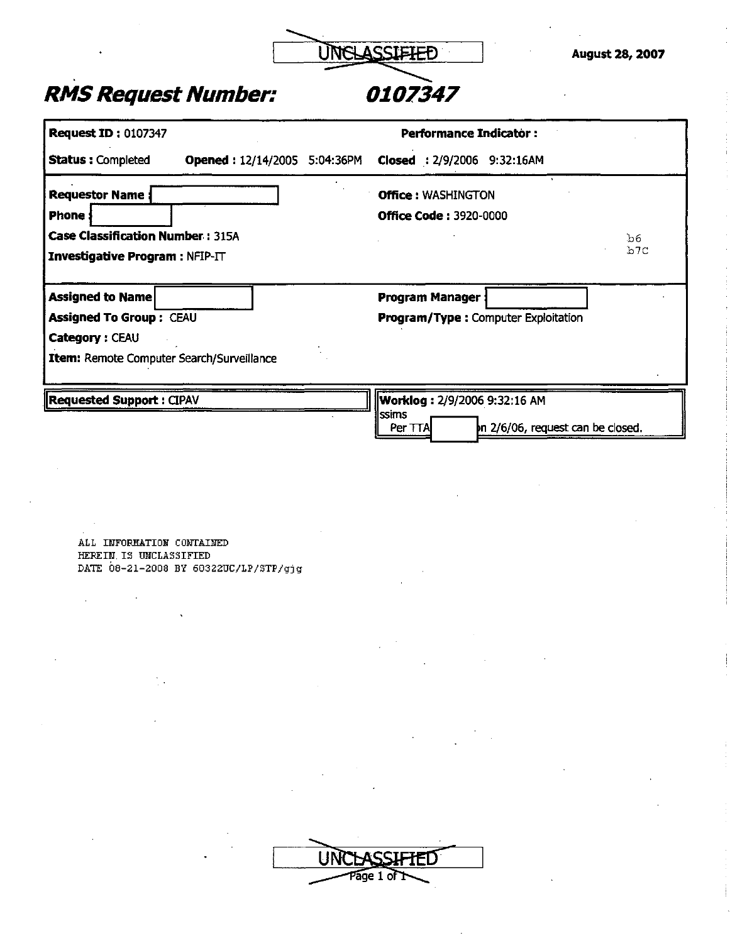

### *RMS Request Number: 0107347*

| <b>Request ID: 0107347</b>                                                       |                                     | <b>Performance Indicator:</b>              |                                   |           |
|----------------------------------------------------------------------------------|-------------------------------------|--------------------------------------------|-----------------------------------|-----------|
| <b>Status: Completed</b>                                                         | <b>Opened: 12/14/2005 5:04:36PM</b> | Closed: 2/9/2006 9:32:16AM                 |                                   |           |
| <b>Requestor Name</b>                                                            |                                     | <b>Office: WASHINGTON</b>                  |                                   |           |
| <b>Phone</b> :                                                                   |                                     | <b>Office Code: 3920-0000</b>              |                                   |           |
| <b>Case Classification Number: 315A</b><br><b>Investigative Program: NFIP-IT</b> |                                     |                                            |                                   | ან<br>b7C |
| <b>Assigned to Name</b>                                                          |                                     | Program Manager                            |                                   |           |
| <b>Assigned To Group: CEAU</b>                                                   |                                     | <b>Program/Type: Computer Exploitation</b> |                                   |           |
| Category: CEAU                                                                   |                                     |                                            |                                   |           |
| Item: Remote Computer Search/Surveillance                                        |                                     |                                            |                                   |           |
| Requested Support : CIPAV                                                        |                                     | <b>Worklog: 2/9/2006 9:32:16 AM</b>        |                                   |           |
|                                                                                  |                                     | Issims<br>Per TTA                          | In 2/6/06, request can be closed. |           |

**ALL INFORMATION CONTAINED HEREIN.15 UNCLASSIFIED DATE 08-21-2008 BY 60322UC/LP/STP/gjg** 

| <b>LLARAS STEPH</b><br>U<br>EU.<br>ы |  |
|--------------------------------------|--|
| Page 1 of I                          |  |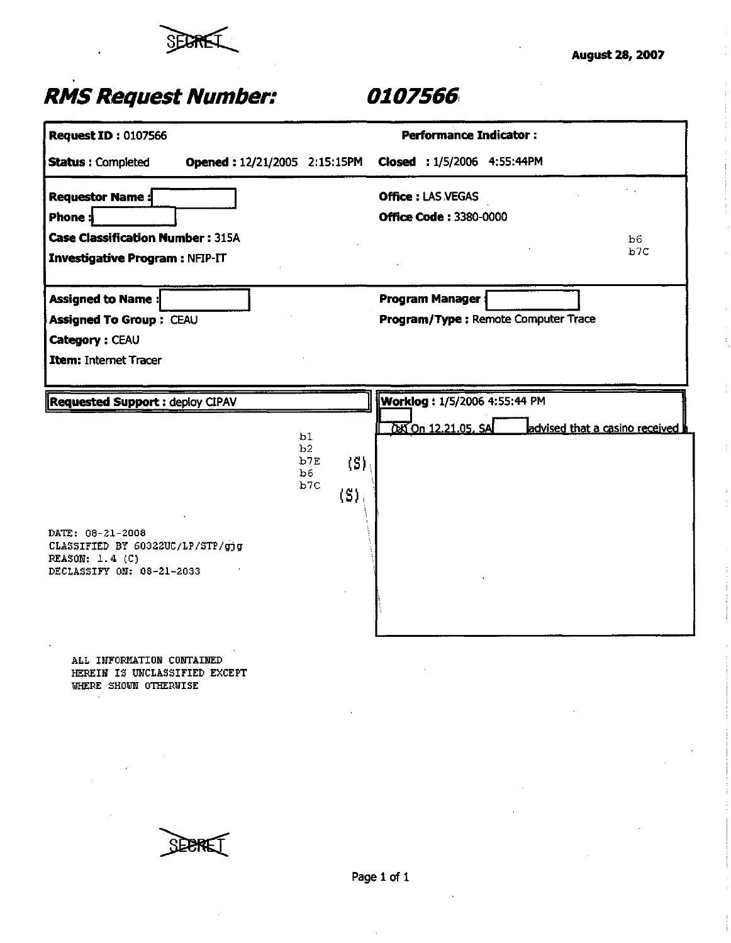

| <b>Request ID: 0107566</b>                             |                                                         | <b>Performance Indicator:</b>                           |                                |
|--------------------------------------------------------|---------------------------------------------------------|---------------------------------------------------------|--------------------------------|
|                                                        |                                                         |                                                         |                                |
| <b>Status: Completed</b>                               |                                                         | Opened: 12/21/2005 2:15:15PM Closed: 1/5/2006 4:55:44PM |                                |
| <b>Requestor Name:</b>                                 |                                                         | <b>Office: LAS VEGAS</b>                                |                                |
| Phone:                                                 |                                                         | <b>Office Code: 3380-0000</b>                           |                                |
| <b>Case Classification Number: 315A</b>                |                                                         |                                                         | Ъ6                             |
| <b>Investigative Program: NFIP-IT</b>                  |                                                         |                                                         | b7C                            |
|                                                        |                                                         |                                                         |                                |
| <b>Assigned to Name:</b>                               |                                                         | <b>Program Manager:</b>                                 |                                |
| Assigned To Group: CEAU                                |                                                         | Program/Type: Remote Computer Trace                     |                                |
| Category: CEAU                                         |                                                         |                                                         |                                |
| Item: Internet Tracer                                  |                                                         |                                                         |                                |
|                                                        |                                                         |                                                         |                                |
| <b>Requested Support: deploy CIPAV</b>                 |                                                         | Worklog: 1/5/2006 4:55:44 PM                            |                                |
|                                                        |                                                         | 000 12.21.05, SA                                        | advised that a casino received |
|                                                        | b1<br>b2                                                |                                                         |                                |
|                                                        | b7E<br>$\langle S \rangle$<br>Ъ6.                       |                                                         |                                |
|                                                        | b7C<br>$\left\langle \text{S} \right\rangle_{\text{i}}$ |                                                         |                                |
|                                                        |                                                         |                                                         |                                |
| DATE: 08-21-2008                                       |                                                         |                                                         |                                |
| CLASSIFIED BY 60322UC/LP/STP/gjg<br>REASON: 1.4 (C)    |                                                         |                                                         |                                |
| DECLASSIFY ON: 08-21-2033                              |                                                         |                                                         |                                |
|                                                        |                                                         |                                                         |                                |
|                                                        |                                                         |                                                         |                                |
|                                                        |                                                         |                                                         |                                |
| ALL INFORMATION CONTAINED                              |                                                         |                                                         |                                |
| HEREIN IS UNCLASSIFIED EXCEPT<br>WHERE SHOWN OTHERWISE |                                                         |                                                         |                                |
|                                                        |                                                         |                                                         |                                |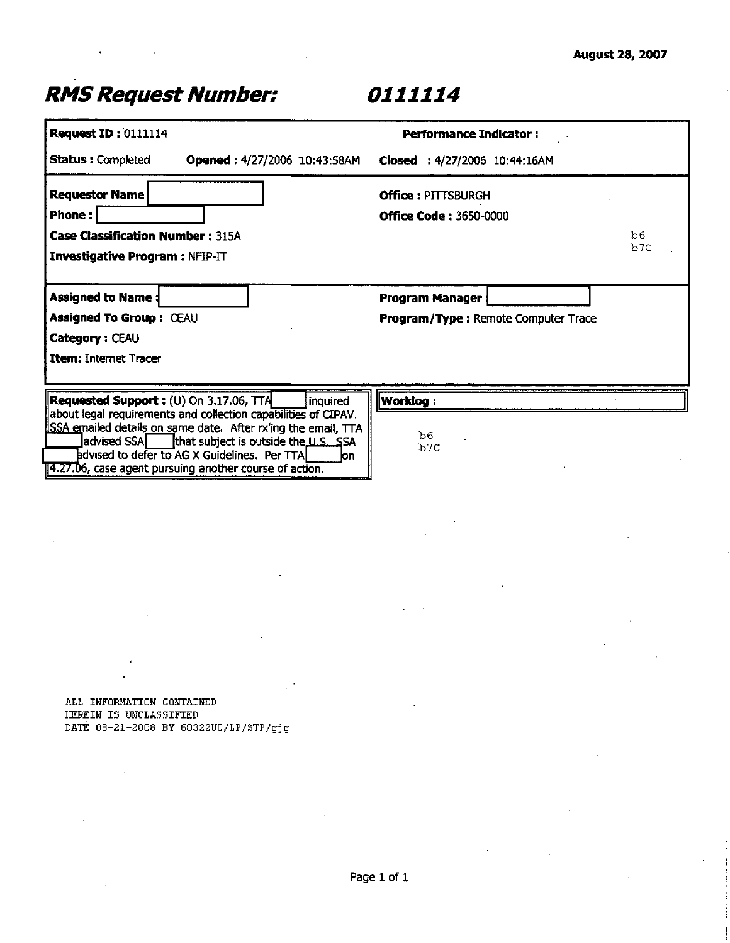|                                                                                                                                                                                                                                                                                                                                                                          | <b>Performance Indicator:</b>                                 |            |
|--------------------------------------------------------------------------------------------------------------------------------------------------------------------------------------------------------------------------------------------------------------------------------------------------------------------------------------------------------------------------|---------------------------------------------------------------|------------|
| <b>Status: Completed</b><br>Opened: 4/27/2006 10:43:58AM                                                                                                                                                                                                                                                                                                                 | Closed : 4/27/2006 10:44:16AM                                 |            |
| <b>Requestor Name</b><br>Phone:<br><b>Case Classification Number: 315A</b><br>Investigative Program : NFIP-IT                                                                                                                                                                                                                                                            | <b>Office: PITTSBURGH</b><br><b>Office Code: 3650-0000</b>    | b6.<br>b7C |
| <b>Assigned to Name</b><br>Assigned To Group: CEAU<br>Category: CEAU<br>Item: Internet Tracer                                                                                                                                                                                                                                                                            | <b>Program Manager</b><br>Program/Type: Remote Computer Trace |            |
| <b>Requested Support :</b> (U) On 3.17.06, $TTA$<br>inquired<br>about legal requirements and collection capabilities of CIPAV.<br>SSA emailed details on same date. After rx'ing the email, TTA<br>advised SSA<br>that subject is outside the U.S. SSA<br>advised to defer to AG X Guidelines. Per TTA<br>lon<br>14.27.06, case agent pursuing another course of action. | <b>Worklog:</b><br>b6<br>b <sub>7C</sub>                      |            |
|                                                                                                                                                                                                                                                                                                                                                                          |                                                               |            |
|                                                                                                                                                                                                                                                                                                                                                                          |                                                               |            |
|                                                                                                                                                                                                                                                                                                                                                                          |                                                               |            |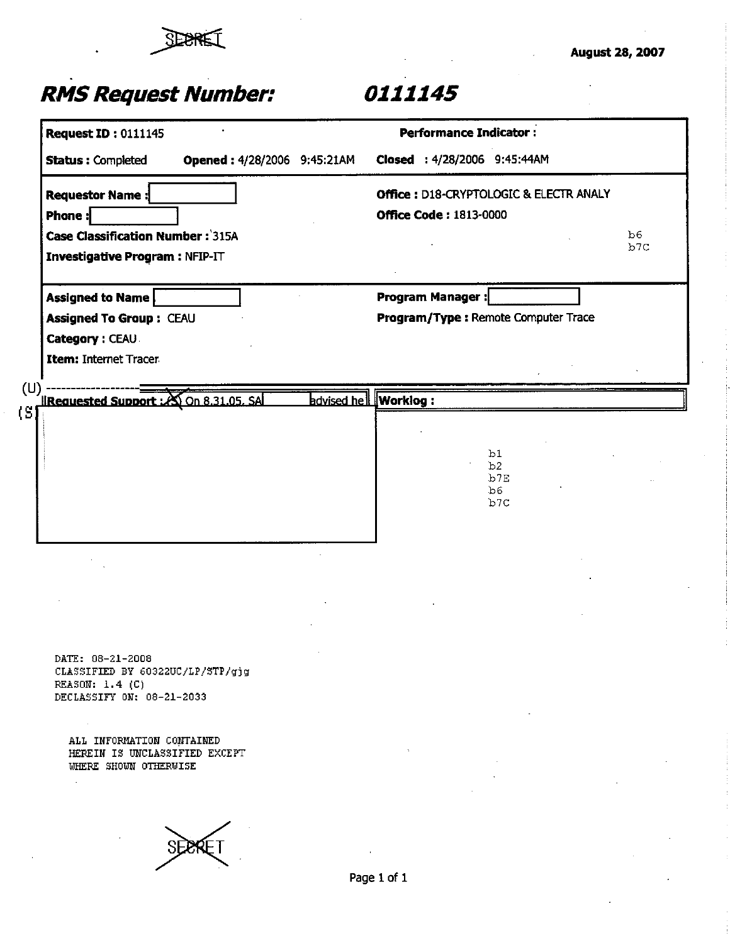

|                              | <b>Request ID: 0111145</b>                                                                                     |                              |             | <b>Performance Indicator:</b>                                           |                              |           |
|------------------------------|----------------------------------------------------------------------------------------------------------------|------------------------------|-------------|-------------------------------------------------------------------------|------------------------------|-----------|
|                              | Opened: 4/28/2006 9:45:21AM<br><b>Status: Completed</b>                                                        |                              |             | Closed: 4/28/2006 9:45:44AM                                             |                              |           |
|                              | <b>Requestor Name:</b><br>Phone:<br><b>Case Classification Number: 315A</b><br>Investigative Program : NFIP-IT |                              |             | Office: D18-CRYPTOLOGIC & ELECTR ANALY<br><b>Office Code: 1813-0000</b> |                              | b6<br>b7C |
|                              | <b>Assigned to Name</b><br><b>Assigned To Group: CEAU</b><br>Category: CEAU<br>Item: Internet Tracer           |                              |             | <b>Program Manager:</b><br>Program/Type: Remote Computer Trace          |                              |           |
| (U                           | <b>IRequested Support : 20 On 8.31.05. SAL</b>                                                                 | <b>advised hell Worklog:</b> |             |                                                                         |                              |           |
| $\left\{ \mathbf{S}\right\}$ |                                                                                                                |                              |             |                                                                         |                              |           |
|                              |                                                                                                                |                              |             |                                                                         | b1<br>b2<br>b7E<br>b6<br>b7C |           |
|                              |                                                                                                                |                              |             |                                                                         |                              |           |
|                              |                                                                                                                |                              |             |                                                                         |                              |           |
|                              | DATE: 08-21-2008<br>CLASSIFIED BY 60322UC/LP/STP/gjg<br>REASON: $1.4$ (C)<br>DECLASSIFY ON: 08-21-2033         |                              |             |                                                                         |                              |           |
|                              | ALL INFORMATION CONTAINED<br>HEREIN IS UNCLASSIFIED EXCEPT<br>WHERE SHOWN OTHERWISE<br>$\sim$                  |                              |             |                                                                         |                              |           |
|                              |                                                                                                                |                              |             |                                                                         |                              |           |
|                              |                                                                                                                |                              | Page 1 of 1 |                                                                         |                              |           |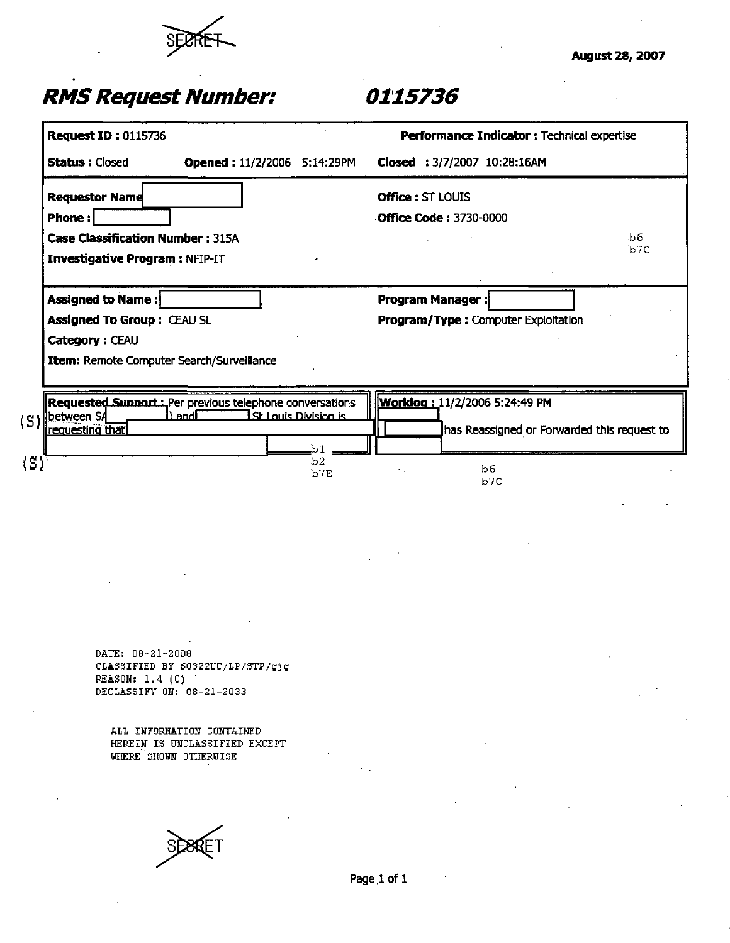

### *RMS Request Number: 0115736*

| <b>Request ID: 0115736</b>                              |                                  |                                 |                   | Performance Indicator : Technical expertise |     |
|---------------------------------------------------------|----------------------------------|---------------------------------|-------------------|---------------------------------------------|-----|
| <b>Status: Closed</b>                                   | Opened: 11/2/2006 5:14:29PM      |                                 |                   | Closed: 3/7/2007 10:28:16AM                 |     |
| <b>Requestor Name</b>                                   |                                  |                                 | Office: ST LOUIS  |                                             |     |
| <b>Phone:</b>                                           |                                  |                                 |                   | <b>Office Code: 3730-0000</b>               |     |
| <b>Case Classification Number: 315A</b>                 |                                  |                                 |                   |                                             | .b6 |
| Investigative Program : NFIP-IT                         |                                  |                                 |                   |                                             | b7c |
| Assigned to Name:                                       |                                  |                                 | Program Manager : |                                             |     |
| <b>Assigned To Group: CEAU SL</b>                       |                                  |                                 |                   | Program/Type: Computer Exploitation         |     |
| Category: CEAU                                          |                                  |                                 |                   |                                             |     |
| Item: Remote Computer Search/Surveillance               |                                  |                                 |                   |                                             |     |
|                                                         |                                  |                                 |                   |                                             |     |
|                                                         |                                  |                                 |                   |                                             |     |
|                                                         |                                  |                                 |                   |                                             |     |
| Requested Sunnort: Per previous telephone conversations | h and <b>E</b>                   | <u> I St Louis Division is </u> |                   | Worklog: 11/2/2006 5:24:49 PM               |     |
| between SA<br>requesting that                           |                                  |                                 |                   | has Reassigned or Forwarded this request to |     |
|                                                         |                                  | Ъ1.                             |                   |                                             |     |
|                                                         |                                  | b2<br>b7E                       |                   | b6.                                         |     |
| $\{\mathtt{S}\}^{\tau}$                                 |                                  |                                 |                   | b7C                                         |     |
|                                                         |                                  |                                 |                   |                                             |     |
|                                                         |                                  |                                 |                   |                                             |     |
|                                                         |                                  |                                 |                   |                                             |     |
|                                                         |                                  |                                 |                   |                                             |     |
|                                                         |                                  |                                 |                   |                                             |     |
|                                                         |                                  |                                 |                   |                                             |     |
|                                                         |                                  |                                 |                   |                                             |     |
|                                                         |                                  |                                 |                   |                                             |     |
| DATE: 08-21-2008                                        |                                  |                                 |                   |                                             |     |
| REASON: 1.4 (C)                                         | CLASSIFIED BY 60322UC/LP/STP/gjg |                                 |                   |                                             |     |

**ALL INFORMATION CONTAINED HEPEIN IS UNCLASSIFIED EXCEPT**  WHERE SHOWN OTHERWISE

SÈ86ET